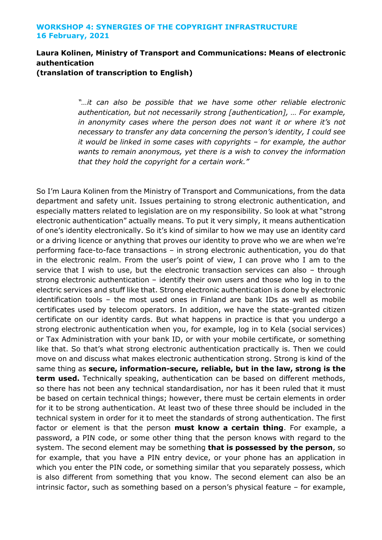## **WORKSHOP 4: SYNERGIES OF THE COPYRIGHT INFRASTRUCTURE 16 February, 2021**

## **Laura Kolinen, Ministry of Transport and Communications: Means of electronic authentication**

**(translation of transcription to English)**

*"…it can also be possible that we have some other reliable electronic authentication, but not necessarily strong [authentication], … For example, in anonymity cases where the person does not want it or where it's not necessary to transfer any data concerning the person's identity, I could see it would be linked in some cases with copyrights – for example, the author wants to remain anonymous, yet there is a wish to convey the information that they hold the copyright for a certain work."*

So I'm Laura Kolinen from the Ministry of Transport and Communications, from the data department and safety unit. Issues pertaining to strong electronic authentication, and especially matters related to legislation are on my responsibility. So look at what "strong electronic authentication" actually means. To put it very simply, it means authentication of one's identity electronically. So it's kind of similar to how we may use an identity card or a driving licence or anything that proves our identity to prove who we are when we're performing face-to-face transactions – in strong electronic authentication, you do that in the electronic realm. From the user's point of view, I can prove who I am to the service that I wish to use, but the electronic transaction services can also – through strong electronic authentication – identify their own users and those who log in to the electric services and stuff like that. Strong electronic authentication is done by electronic identification tools – the most used ones in Finland are bank IDs as well as mobile certificates used by telecom operators. In addition, we have the state-granted citizen certificate on our identity cards. But what happens in practice is that you undergo a strong electronic authentication when you, for example, log in to Kela (social services) or Tax Administration with your bank ID, or with your mobile certificate, or something like that. So that's what strong electronic authentication practically is. Then we could move on and discuss what makes electronic authentication strong. Strong is kind of the same thing as **secure, information-secure, reliable, but in the law, strong is the term used.** Technically speaking, authentication can be based on different methods, so there has not been any technical standardisation, nor has it been ruled that it must be based on certain technical things; however, there must be certain elements in order for it to be strong authentication. At least two of these three should be included in the technical system in order for it to meet the standards of strong authentication. The first factor or element is that the person **must know a certain thing**. For example, a password, a PIN code, or some other thing that the person knows with regard to the system. The second element may be something **that is possessed by the person**, so for example, that you have a PIN entry device, or your phone has an application in which you enter the PIN code, or something similar that you separately possess, which is also different from something that you know. The second element can also be an intrinsic factor, such as something based on a person's physical feature – for example,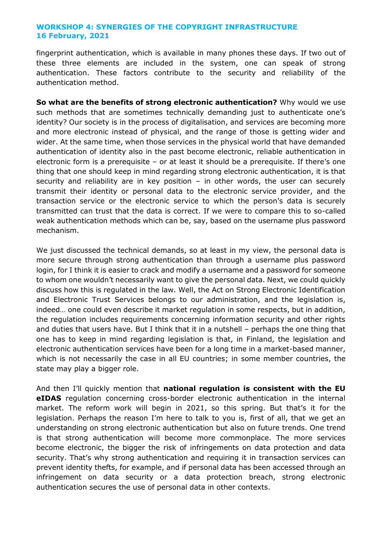## **WORKSHOP 4: SYNERGIES OF THE COPYRIGHT INFRASTRUCTURE 16 February, 2021**

fingerprint authentication, which is available in many phones these days. If two out of these three elements are included in the system, one can speak of strong authentication. These factors contribute to the security and reliability of the authentication method.

**So what are the benefits of strong electronic authentication?** Why would we use such methods that are sometimes technically demanding just to authenticate one's identity? Our society is in the process of digitalisation, and services are becoming more and more electronic instead of physical, and the range of those is getting wider and wider. At the same time, when those services in the physical world that have demanded authentication of identity also in the past become electronic, reliable authentication in electronic form is a prerequisite – or at least it should be a prerequisite. If there's one thing that one should keep in mind regarding strong electronic authentication, it is that security and reliability are in key position – in other words, the user can securely transmit their identity or personal data to the electronic service provider, and the transaction service or the electronic service to which the person's data is securely transmitted can trust that the data is correct. If we were to compare this to so-called weak authentication methods which can be, say, based on the username plus password mechanism.

We just discussed the technical demands, so at least in my view, the personal data is more secure through strong authentication than through a username plus password login, for I think it is easier to crack and modify a username and a password for someone to whom one wouldn't necessarily want to give the personal data. Next, we could quickly discuss how this is regulated in the law. Well, the Act on Strong Electronic Identification and Electronic Trust Services belongs to our administration, and the legislation is, indeed… one could even describe it market regulation in some respects, but in addition, the regulation includes requirements concerning information security and other rights and duties that users have. But I think that it in a nutshell – perhaps the one thing that one has to keep in mind regarding legislation is that, in Finland, the legislation and electronic authentication services have been for a long time in a market-based manner, which is not necessarily the case in all EU countries; in some member countries, the state may play a bigger role.

And then I'll quickly mention that **national regulation is consistent with the EU eIDAS** regulation concerning cross-border electronic authentication in the internal market. The reform work will begin in 2021, so this spring. But that's it for the legislation. Perhaps the reason I'm here to talk to you is, first of all, that we get an understanding on strong electronic authentication but also on future trends. One trend is that strong authentication will become more commonplace. The more services become electronic, the bigger the risk of infringements on data protection and data security. That's why strong authentication and requiring it in transaction services can prevent identity thefts, for example, and if personal data has been accessed through an infringement on data security or a data protection breach, strong electronic authentication secures the use of personal data in other contexts.